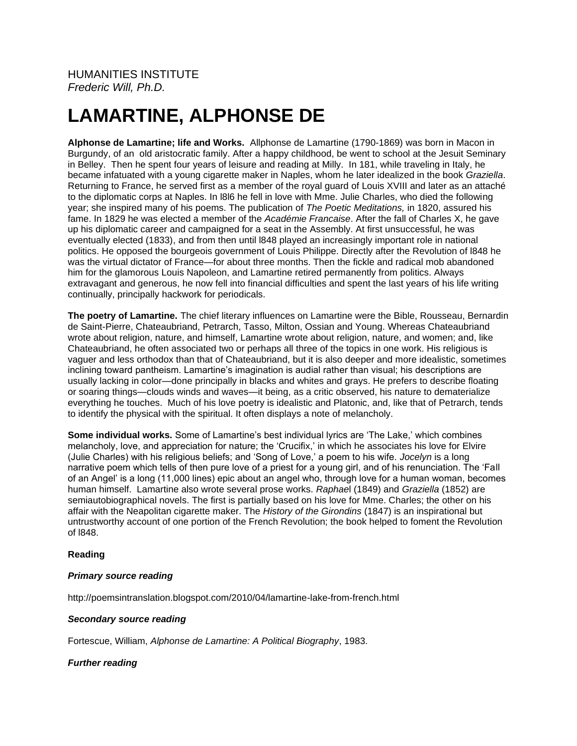# **LAMARTINE, ALPHONSE DE**

**Alphonse de Lamartine; life and Works.** Allphonse de Lamartine (1790-1869) was born in Macon in Burgundy, of an old aristocratic family. After a happy childhood, be went to school at the Jesuit Seminary in Belley. Then he spent four years of leisure and reading at Milly. In 181, while traveling in Italy, he became infatuated with a young cigarette maker in Naples, whom he later idealized in the book *Graziella*. Returning to France, he served first as a member of the royal guard of Louis XVIII and later as an attaché to the diplomatic corps at Naples. In l8l6 he fell in love with Mme. Julie Charles, who died the following year; she inspired many of his poems. The publication of *The Poetic Meditations,* in 1820, assured his fame. In 1829 he was elected a member of the *Académie Francaise*. After the fall of Charles X, he gave up his diplomatic career and campaigned for a seat in the Assembly. At first unsuccessful, he was eventually elected (1833), and from then until l848 played an increasingly important role in national politics. He opposed the bourgeois government of Louis Philippe. Directly after the Revolution of l848 he was the virtual dictator of France—for about three months. Then the fickle and radical mob abandoned him for the glamorous Louis Napoleon, and Lamartine retired permanently from politics. Always extravagant and generous, he now fell into financial difficulties and spent the last years of his life writing continually, principally hackwork for periodicals.

**The poetry of Lamartine.** The chief literary influences on Lamartine were the Bible, Rousseau, Bernardin de Saint-Pierre, Chateaubriand, Petrarch, Tasso, Milton, Ossian and Young. Whereas Chateaubriand wrote about religion, nature, and himself, Lamartine wrote about religion, nature, and women; and, like Chateaubriand, he often associated two or perhaps all three of the topics in one work. His religious is vaguer and less orthodox than that of Chateaubriand, but it is also deeper and more idealistic, sometimes inclining toward pantheism. Lamartine's imagination is audial rather than visual; his descriptions are usually lacking in color—done principally in blacks and whites and grays. He prefers to describe floating or soaring things—clouds winds and waves—it being, as a critic observed, his nature to dematerialize everything he touches. Much of his love poetry is idealistic and Platonic, and, like that of Petrarch, tends to identify the physical with the spiritual. It often displays a note of melancholy.

**Some individual works.** Some of Lamartine's best individual lyrics are 'The Lake,' which combines melancholy, love, and appreciation for nature; the 'Crucifix,' in which he associates his love for Elvire (Julie Charles) with his religious beliefs; and 'Song of Love,' a poem to his wife. *Jocelyn* is a long narrative poem which tells of then pure love of a priest for a young girl, and of his renunciation. The 'Fall of an Angel' is a long (11,000 lines) epic about an angel who, through love for a human woman, becomes human himself. Lamartine also wrote several prose works. *Raphae*l (1849) and *Graziella* (1852) are semiautobiographical novels. The first is partially based on his love for Mme. Charles; the other on his affair with the Neapolitan cigarette maker. The *History of the Girondins* (1847) is an inspirational but untrustworthy account of one portion of the French Revolution; the book helped to foment the Revolution of l848.

# **Reading**

#### *Primary source reading*

http://poemsintranslation.blogspot.com/2010/04/lamartine-lake-from-french.html

#### *Secondary source reading*

Fortescue, William, *Alphonse de Lamartine: A Political Biography*, 1983.

#### *Further reading*